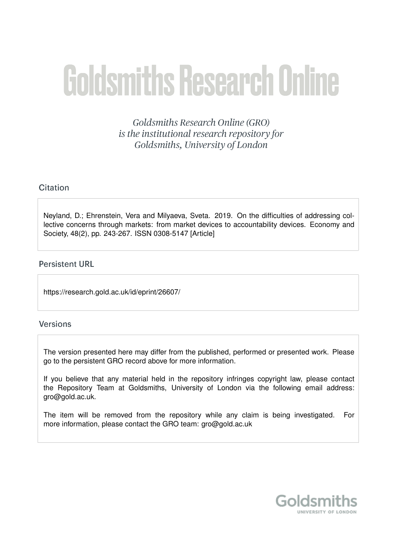# **Goldsmiths Research Online**

Goldsmiths Research Online (GRO) is the institutional research repository for Goldsmiths, University of London

# Citation

Neyland, D.; Ehrenstein, Vera and Milyaeva, Sveta. 2019. On the difficulties of addressing collective concerns through markets: from market devices to accountability devices. Economy and Society, 48(2), pp. 243-267. ISSN 0308-5147 [Article]

# **Persistent URL**

https://research.gold.ac.uk/id/eprint/26607/

#### **Versions**

The version presented here may differ from the published, performed or presented work. Please go to the persistent GRO record above for more information.

If you believe that any material held in the repository infringes copyright law, please contact the Repository Team at Goldsmiths, University of London via the following email address: gro@gold.ac.uk.

The item will be removed from the repository while any claim is being investigated. For more information, please contact the GRO team: gro@gold.ac.uk

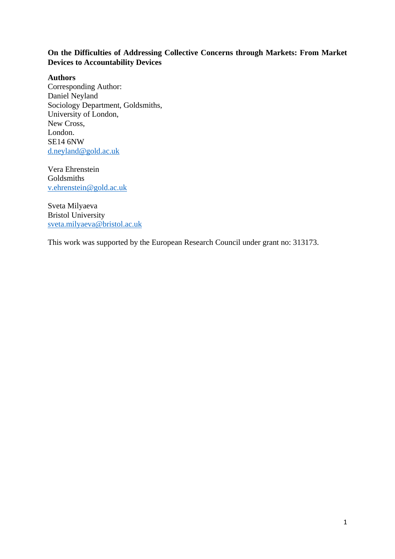# **On the Difficulties of Addressing Collective Concerns through Markets: From Market Devices to Accountability Devices**

#### **Authors**

Corresponding Author: Daniel Neyland Sociology Department, Goldsmiths, University of London, New Cross, London. SE14 6NW [d.neyland@gold.ac.uk](mailto:d.neyland@gold.ac.uk)

Vera Ehrenstein Goldsmiths [v.ehrenstein@gold.ac.uk](mailto:v.ehrenstein@gold.ac.uk)

Sveta Milyaeva Bristol University [sveta.milyaeva@bristol.ac.uk](mailto:sveta.milyaeva@bristol.ac.uk)

This work was supported by the European Research Council under grant no: 313173.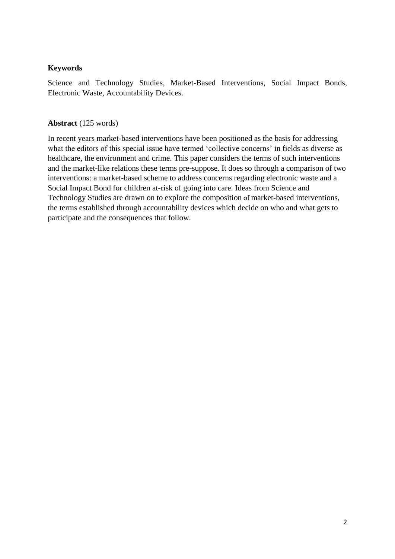## **Keywords**

Science and Technology Studies, Market-Based Interventions, Social Impact Bonds, Electronic Waste, Accountability Devices.

## **Abstract** (125 words)

In recent years market-based interventions have been positioned as the basis for addressing what the editors of this special issue have termed 'collective concerns' in fields as diverse as healthcare, the environment and crime. This paper considers the terms of such interventions and the market-like relations these terms pre-suppose. It does so through a comparison of two interventions: a market-based scheme to address concerns regarding electronic waste and a Social Impact Bond for children at-risk of going into care. Ideas from Science and Technology Studies are drawn on to explore the composition of market-based interventions, the terms established through accountability devices which decide on who and what gets to participate and the consequences that follow.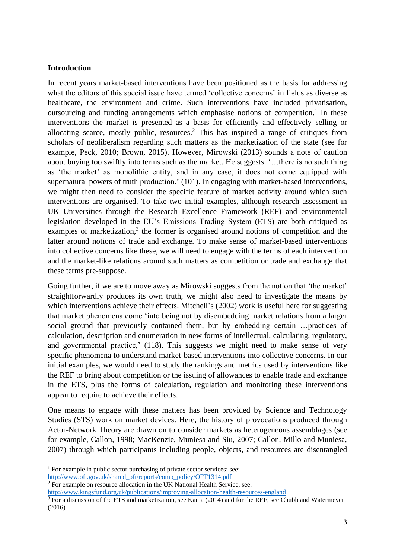#### **Introduction**

In recent years market-based interventions have been positioned as the basis for addressing what the editors of this special issue have termed 'collective concerns' in fields as diverse as healthcare, the environment and crime. Such interventions have included privatisation, outsourcing and funding arrangements which emphasise notions of competition.<sup>1</sup> In these interventions the market is presented as a basis for efficiently and effectively selling or allocating scarce, mostly public, resources. <sup>2</sup> This has inspired a range of critiques from scholars of neoliberalism regarding such matters as the marketization of the state (see for example, Peck, 2010; Brown, 2015). However, Mirowski (2013) sounds a note of caution about buying too swiftly into terms such as the market. He suggests: '…there is no such thing as 'the market' as monolithic entity, and in any case, it does not come equipped with supernatural powers of truth production.' (101). In engaging with market-based interventions, we might then need to consider the specific feature of market activity around which such interventions are organised. To take two initial examples, although research assessment in UK Universities through the Research Excellence Framework (REF) and environmental legislation developed in the EU's Emissions Trading System (ETS) are both critiqued as examples of marketization, $3$  the former is organised around notions of competition and the latter around notions of trade and exchange. To make sense of market-based interventions into collective concerns like these, we will need to engage with the terms of each intervention and the market-like relations around such matters as competition or trade and exchange that these terms pre-suppose.

Going further, if we are to move away as Mirowski suggests from the notion that 'the market' straightforwardly produces its own truth, we might also need to investigate the means by which interventions achieve their effects. Mitchell's (2002) work is useful here for suggesting that market phenomena come 'into being not by disembedding market relations from a larger social ground that previously contained them, but by embedding certain …practices of calculation, description and enumeration in new forms of intellectual, calculating, regulatory, and governmental practice,' (118). This suggests we might need to make sense of very specific phenomena to understand market-based interventions into collective concerns. In our initial examples, we would need to study the rankings and metrics used by interventions like the REF to bring about competition or the issuing of allowances to enable trade and exchange in the ETS, plus the forms of calculation, regulation and monitoring these interventions appear to require to achieve their effects.

One means to engage with these matters has been provided by Science and Technology Studies (STS) work on market devices. Here, the history of provocations produced through Actor-Network Theory are drawn on to consider markets as heterogeneous assemblages (see for example, Callon, 1998; MacKenzie, Muniesa and Siu, 2007; Callon, Millo and Muniesa, 2007) through which participants including people, objects, and resources are disentangled

<sup>&</sup>lt;sup>1</sup> For example in public sector purchasing of private sector services: see:

[http://www.oft.gov.uk/shared\\_oft/reports/comp\\_policy/OFT1314.pdf](http://www.oft.gov.uk/shared_oft/reports/comp_policy/OFT1314.pdf) 

<sup>&</sup>lt;sup>2</sup> For example on resource allocation in the UK National Health Service, see:

<http://www.kingsfund.org.uk/publications/improving-allocation-health-resources-england>

<sup>&</sup>lt;sup>3</sup> For a discussion of the ETS and marketization, see Kama (2014) and for the REF, see Chubb and Watermeyer (2016)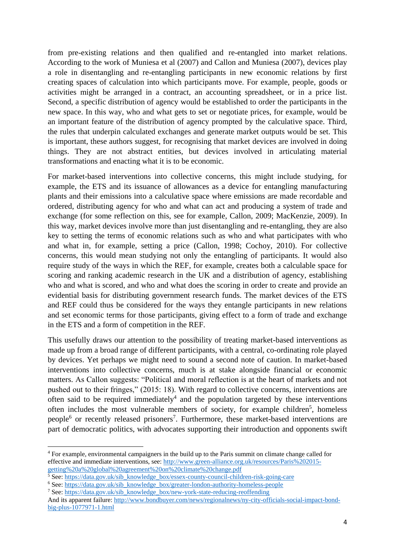from pre-existing relations and then qualified and re-entangled into market relations. According to the work of Muniesa et al (2007) and Callon and Muniesa (2007), devices play a role in disentangling and re-entangling participants in new economic relations by first creating spaces of calculation into which participants move. For example, people, goods or activities might be arranged in a contract, an accounting spreadsheet, or in a price list. Second, a specific distribution of agency would be established to order the participants in the new space. In this way, who and what gets to set or negotiate prices, for example, would be an important feature of the distribution of agency prompted by the calculative space. Third, the rules that underpin calculated exchanges and generate market outputs would be set. This is important, these authors suggest, for recognising that market devices are involved in doing things. They are not abstract entities, but devices involved in articulating material transformations and enacting what it is to be economic.

For market-based interventions into collective concerns, this might include studying, for example, the ETS and its issuance of allowances as a device for entangling manufacturing plants and their emissions into a calculative space where emissions are made recordable and ordered, distributing agency for who and what can act and producing a system of trade and exchange (for some reflection on this, see for example, Callon, 2009; MacKenzie, 2009). In this way, market devices involve more than just disentangling and re-entangling, they are also key to setting the terms of economic relations such as who and what participates with who and what in, for example, setting a price (Callon, 1998; Cochoy, 2010). For collective concerns, this would mean studying not only the entangling of participants. It would also require study of the ways in which the REF, for example, creates both a calculable space for scoring and ranking academic research in the UK and a distribution of agency, establishing who and what is scored, and who and what does the scoring in order to create and provide an evidential basis for distributing government research funds. The market devices of the ETS and REF could thus be considered for the ways they entangle participants in new relations and set economic terms for those participants, giving effect to a form of trade and exchange in the ETS and a form of competition in the REF.

This usefully draws our attention to the possibility of treating market-based interventions as made up from a broad range of different participants, with a central, co-ordinating role played by devices. Yet perhaps we might need to sound a second note of caution. In market-based interventions into collective concerns, much is at stake alongside financial or economic matters. As Callon suggests: "Political and moral reflection is at the heart of markets and not pushed out to their fringes," (2015: 18). With regard to collective concerns, interventions are often said to be required immediately<sup>4</sup> and the population targeted by these interventions often includes the most vulnerable members of society, for example children<sup>5</sup>, homeless people<sup>6</sup> or recently released prisoners<sup>7</sup>. Furthermore, these market-based interventions are part of democratic politics, with advocates supporting their introduction and opponents swift

- <sup>5</sup> See[: https://data.gov.uk/sib\\_knowledge\\_box/essex-county-council-children-risk-going-care](https://data.gov.uk/sib_knowledge_box/essex-county-council-children-risk-going-care)
- <sup>6</sup> See[: https://data.gov.uk/sib\\_knowledge\\_box/greater-london-authority-homeless-people](https://data.gov.uk/sib_knowledge_box/greater-london-authority-homeless-people)

<sup>1</sup> <sup>4</sup> For example, environmental campaigners in the build up to the Paris summit on climate change called for effective and immediate interventions, see: [http://www.green-alliance.org.uk/resources/Paris%202015](http://www.green-alliance.org.uk/resources/Paris%202015-getting%20a%20global%20agreement%20on%20climate%20change.pdf) [getting%20a%20global%20agreement%20on%20climate%20change.pdf](http://www.green-alliance.org.uk/resources/Paris%202015-getting%20a%20global%20agreement%20on%20climate%20change.pdf)

<sup>7</sup> See[: https://data.gov.uk/sib\\_knowledge\\_box/new-york-state-reducing-reoffending](https://data.gov.uk/sib_knowledge_box/new-york-state-reducing-reoffending)

And its apparent failure: [http://www.bondbuyer.com/news/regionalnews/ny-city-officials-social-impact-bond](http://www.bondbuyer.com/news/regionalnews/ny-city-officials-social-impact-bond-big-plus-1077971-1.html)[big-plus-1077971-1.html](http://www.bondbuyer.com/news/regionalnews/ny-city-officials-social-impact-bond-big-plus-1077971-1.html)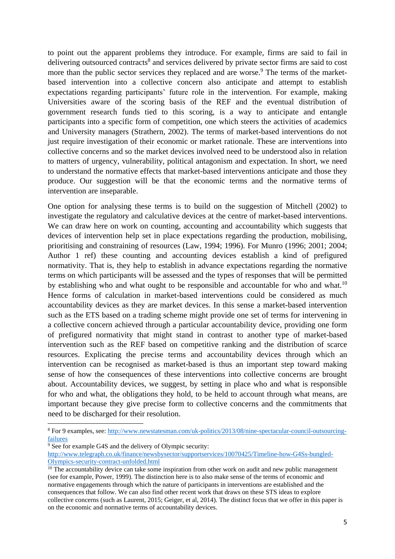to point out the apparent problems they introduce. For example, firms are said to fail in delivering outsourced contracts<sup>8</sup> and services delivered by private sector firms are said to cost more than the public sector services they replaced and are worse.<sup>9</sup> The terms of the marketbased intervention into a collective concern also anticipate and attempt to establish expectations regarding participants' future role in the intervention. For example, making Universities aware of the scoring basis of the REF and the eventual distribution of government research funds tied to this scoring, is a way to anticipate and entangle participants into a specific form of competition, one which steers the activities of academics and University managers (Strathern, 2002). The terms of market-based interventions do not just require investigation of their economic or market rationale. These are interventions into collective concerns and so the market devices involved need to be understood also in relation to matters of urgency, vulnerability, political antagonism and expectation. In short, we need to understand the normative effects that market-based interventions anticipate and those they produce. Our suggestion will be that the economic terms and the normative terms of intervention are inseparable.

One option for analysing these terms is to build on the suggestion of Mitchell (2002) to investigate the regulatory and calculative devices at the centre of market-based interventions. We can draw here on work on counting, accounting and accountability which suggests that devices of intervention help set in place expectations regarding the production, mobilising, prioritising and constraining of resources (Law, 1994; 1996). For Munro (1996; 2001; 2004; Author 1 ref) these counting and accounting devices establish a kind of prefigured normativity. That is, they help to establish in advance expectations regarding the normative terms on which participants will be assessed and the types of responses that will be permitted by establishing who and what ought to be responsible and accountable for who and what.<sup>10</sup> Hence forms of calculation in market-based interventions could be considered as much accountability devices as they are market devices. In this sense a market-based intervention such as the ETS based on a trading scheme might provide one set of terms for intervening in a collective concern achieved through a particular accountability device, providing one form of prefigured normativity that might stand in contrast to another type of market-based intervention such as the REF based on competitive ranking and the distribution of scarce resources. Explicating the precise terms and accountability devices through which an intervention can be recognised as market-based is thus an important step toward making sense of how the consequences of these interventions into collective concerns are brought about. Accountability devices, we suggest, by setting in place who and what is responsible for who and what, the obligations they hold, to be held to account through what means, are important because they give precise form to collective concerns and the commitments that need to be discharged for their resolution.

<sup>8</sup> For 9 examples, see: [http://www.newstatesman.com/uk-politics/2013/08/nine-spectacular-council-outsourcing](http://www.newstatesman.com/uk-politics/2013/08/nine-spectacular-council-outsourcing-failures)[failures](http://www.newstatesman.com/uk-politics/2013/08/nine-spectacular-council-outsourcing-failures)

 $\frac{9}{9}$  See for example G4S and the delivery of Olympic security:

[http://www.telegraph.co.uk/finance/newsbysector/supportservices/10070425/Timeline-how-G4Ss-bungled-](http://www.telegraph.co.uk/finance/newsbysector/supportservices/10070425/Timeline-how-G4Ss-bungled-Olympics-security-contract-unfolded.html)[Olympics-security-contract-unfolded.html](http://www.telegraph.co.uk/finance/newsbysector/supportservices/10070425/Timeline-how-G4Ss-bungled-Olympics-security-contract-unfolded.html)

 $10$  The accountability device can take some inspiration from other work on audit and new public management (see for example, Power, 1999). The distinction here is to also make sense of the terms of economic and normative engagements through which the nature of participants in interventions are established and the consequences that follow. We can also find other recent work that draws on these STS ideas to explore collective concerns (such as Laurent, 2015; Geiger, et al, 2014). The distinct focus that we offer in this paper is on the economic and normative terms of accountability devices.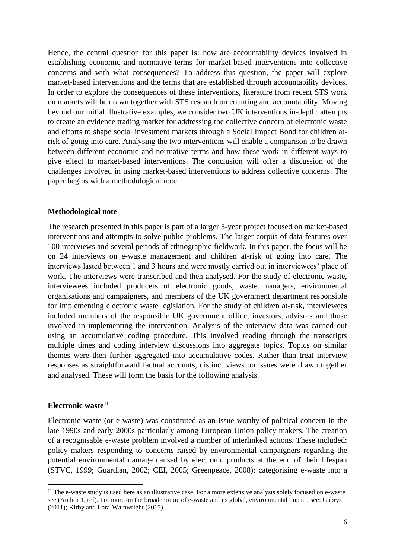Hence, the central question for this paper is: how are accountability devices involved in establishing economic and normative terms for market-based interventions into collective concerns and with what consequences? To address this question, the paper will explore market-based interventions and the terms that are established through accountability devices. In order to explore the consequences of these interventions, literature from recent STS work on markets will be drawn together with STS research on counting and accountability. Moving beyond our initial illustrative examples, we consider two UK interventions in-depth: attempts to create an evidence trading market for addressing the collective concern of electronic waste and efforts to shape social investment markets through a Social Impact Bond for children atrisk of going into care. Analysing the two interventions will enable a comparison to be drawn between different economic and normative terms and how these work in different ways to give effect to market-based interventions. The conclusion will offer a discussion of the challenges involved in using market-based interventions to address collective concerns. The paper begins with a methodological note.

#### **Methodological note**

The research presented in this paper is part of a larger 5-year project focused on market-based interventions and attempts to solve public problems. The larger corpus of data features over 100 interviews and several periods of ethnographic fieldwork. In this paper, the focus will be on 24 interviews on e-waste management and children at-risk of going into care. The interviews lasted between 1 and 3 hours and were mostly carried out in interviewees' place of work. The interviews were transcribed and then analysed. For the study of electronic waste, interviewees included producers of electronic goods, waste managers, environmental organisations and campaigners, and members of the UK government department responsible for implementing electronic waste legislation. For the study of children at-risk, interviewees included members of the responsible UK government office, investors, advisors and those involved in implementing the intervention. Analysis of the interview data was carried out using an accumulative coding procedure. This involved reading through the transcripts multiple times and coding interview discussions into aggregate topics. Topics on similar themes were then further aggregated into accumulative codes. Rather than treat interview responses as straightforward factual accounts, distinct views on issues were drawn together and analysed. These will form the basis for the following analysis.

# **Electronic waste<sup>11</sup>**

**.** 

Electronic waste (or e-waste) was constituted as an issue worthy of political concern in the late 1990s and early 2000s particularly among European Union policy makers. The creation of a recognisable e-waste problem involved a number of interlinked actions. These included: policy makers responding to concerns raised by environmental campaigners regarding the potential environmental damage caused by electronic products at the end of their lifespan (STVC, 1999; Guardian, 2002; CEI, 2005; Greenpeace, 2008); categorising e-waste into a

 $11$  The e-waste study is used here as an illustrative case. For a more extensive analysis solely focused on e-waste see (Author 1, ref). For more on the broader topic of e-waste and its global, environmental impact, see: Gabrys (2011); Kirby and Lora-Wainwright (2015).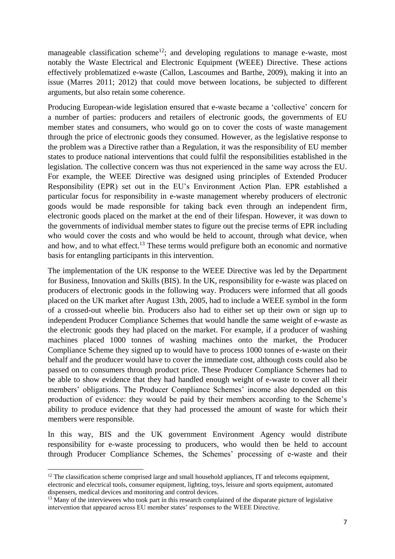manageable classification scheme<sup>12</sup>; and developing regulations to manage e-waste, most notably the Waste Electrical and Electronic Equipment (WEEE) Directive. These actions effectively problematized e-waste (Callon, Lascoumes and Barthe, 2009), making it into an issue (Marres 2011; 2012) that could move between locations, be subjected to different arguments, but also retain some coherence.

Producing European-wide legislation ensured that e-waste became a 'collective' concern for a number of parties: producers and retailers of electronic goods, the governments of EU member states and consumers, who would go on to cover the costs of waste management through the price of electronic goods they consumed. However, as the legislative response to the problem was a Directive rather than a Regulation, it was the responsibility of EU member states to produce national interventions that could fulfil the responsibilities established in the legislation. The collective concern was thus not experienced in the same way across the EU. For example, the WEEE Directive was designed using principles of Extended Producer Responsibility (EPR) set out in the EU's Environment Action Plan. EPR established a particular focus for responsibility in e-waste management whereby producers of electronic goods would be made responsible for taking back even through an independent firm, electronic goods placed on the market at the end of their lifespan. However, it was down to the governments of individual member states to figure out the precise terms of EPR including who would cover the costs and who would be held to account, through what device, when and how, and to what effect.<sup>13</sup> These terms would prefigure both an economic and normative basis for entangling participants in this intervention.

The implementation of the UK response to the WEEE Directive was led by the Department for Business, Innovation and Skills (BIS). In the UK, responsibility for e-waste was placed on producers of electronic goods in the following way. Producers were informed that all goods placed on the UK market after August 13th, 2005, had to include a WEEE symbol in the form of a crossed-out wheelie bin. Producers also had to either set up their own or sign up to independent Producer Compliance Schemes that would handle the same weight of e-waste as the electronic goods they had placed on the market. For example, if a producer of washing machines placed 1000 tonnes of washing machines onto the market, the Producer Compliance Scheme they signed up to would have to process 1000 tonnes of e-waste on their behalf and the producer would have to cover the immediate cost, although costs could also be passed on to consumers through product price. These Producer Compliance Schemes had to be able to show evidence that they had handled enough weight of e-waste to cover all their members' obligations. The Producer Compliance Schemes' income also depended on this production of evidence: they would be paid by their members according to the Scheme's ability to produce evidence that they had processed the amount of waste for which their members were responsible.

In this way, BIS and the UK government Environment Agency would distribute responsibility for e-waste processing to producers, who would then be held to account through Producer Compliance Schemes, the Schemes' processing of e-waste and their

1

 $12$  The classification scheme comprised large and small household appliances. IT and telecoms equipment, electronic and electrical tools, consumer equipment, lighting, toys, leisure and sports equipment, automated dispensers, medical devices and monitoring and control devices.

<sup>&</sup>lt;sup>13</sup> Many of the interviewees who took part in this research complained of the disparate picture of legislative intervention that appeared across EU member states' responses to the WEEE Directive.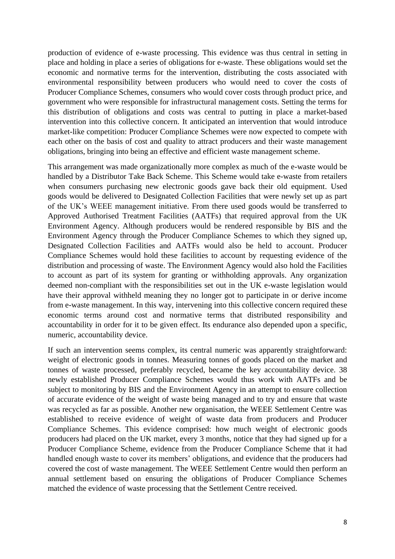production of evidence of e-waste processing. This evidence was thus central in setting in place and holding in place a series of obligations for e-waste. These obligations would set the economic and normative terms for the intervention, distributing the costs associated with environmental responsibility between producers who would need to cover the costs of Producer Compliance Schemes, consumers who would cover costs through product price, and government who were responsible for infrastructural management costs. Setting the terms for this distribution of obligations and costs was central to putting in place a market-based intervention into this collective concern. It anticipated an intervention that would introduce market-like competition: Producer Compliance Schemes were now expected to compete with each other on the basis of cost and quality to attract producers and their waste management obligations, bringing into being an effective and efficient waste management scheme.

This arrangement was made organizationally more complex as much of the e-waste would be handled by a Distributor Take Back Scheme. This Scheme would take e-waste from retailers when consumers purchasing new electronic goods gave back their old equipment. Used goods would be delivered to Designated Collection Facilities that were newly set up as part of the UK's WEEE management initiative. From there used goods would be transferred to Approved Authorised Treatment Facilities (AATFs) that required approval from the UK Environment Agency. Although producers would be rendered responsible by BIS and the Environment Agency through the Producer Compliance Schemes to which they signed up, Designated Collection Facilities and AATFs would also be held to account. Producer Compliance Schemes would hold these facilities to account by requesting evidence of the distribution and processing of waste. The Environment Agency would also hold the Facilities to account as part of its system for granting or withholding approvals. Any organization deemed non-compliant with the responsibilities set out in the UK e-waste legislation would have their approval withheld meaning they no longer got to participate in or derive income from e-waste management. In this way, intervening into this collective concern required these economic terms around cost and normative terms that distributed responsibility and accountability in order for it to be given effect. Its endurance also depended upon a specific, numeric, accountability device.

If such an intervention seems complex, its central numeric was apparently straightforward: weight of electronic goods in tonnes. Measuring tonnes of goods placed on the market and tonnes of waste processed, preferably recycled, became the key accountability device. 38 newly established Producer Compliance Schemes would thus work with AATFs and be subject to monitoring by BIS and the Environment Agency in an attempt to ensure collection of accurate evidence of the weight of waste being managed and to try and ensure that waste was recycled as far as possible. Another new organisation, the WEEE Settlement Centre was established to receive evidence of weight of waste data from producers and Producer Compliance Schemes. This evidence comprised: how much weight of electronic goods producers had placed on the UK market, every 3 months, notice that they had signed up for a Producer Compliance Scheme, evidence from the Producer Compliance Scheme that it had handled enough waste to cover its members' obligations, and evidence that the producers had covered the cost of waste management. The WEEE Settlement Centre would then perform an annual settlement based on ensuring the obligations of Producer Compliance Schemes matched the evidence of waste processing that the Settlement Centre received.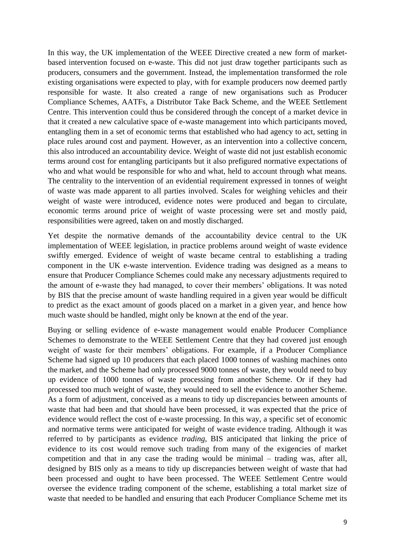In this way, the UK implementation of the WEEE Directive created a new form of marketbased intervention focused on e-waste. This did not just draw together participants such as producers, consumers and the government. Instead, the implementation transformed the role existing organisations were expected to play, with for example producers now deemed partly responsible for waste. It also created a range of new organisations such as Producer Compliance Schemes, AATFs, a Distributor Take Back Scheme, and the WEEE Settlement Centre. This intervention could thus be considered through the concept of a market device in that it created a new calculative space of e-waste management into which participants moved, entangling them in a set of economic terms that established who had agency to act, setting in place rules around cost and payment. However, as an intervention into a collective concern, this also introduced an accountability device. Weight of waste did not just establish economic terms around cost for entangling participants but it also prefigured normative expectations of who and what would be responsible for who and what, held to account through what means. The centrality to the intervention of an evidential requirement expressed in tonnes of weight of waste was made apparent to all parties involved. Scales for weighing vehicles and their weight of waste were introduced, evidence notes were produced and began to circulate, economic terms around price of weight of waste processing were set and mostly paid, responsibilities were agreed, taken on and mostly discharged.

Yet despite the normative demands of the accountability device central to the UK implementation of WEEE legislation, in practice problems around weight of waste evidence swiftly emerged. Evidence of weight of waste became central to establishing a trading component in the UK e-waste intervention. Evidence trading was designed as a means to ensure that Producer Compliance Schemes could make any necessary adjustments required to the amount of e-waste they had managed, to cover their members' obligations. It was noted by BIS that the precise amount of waste handling required in a given year would be difficult to predict as the exact amount of goods placed on a market in a given year, and hence how much waste should be handled, might only be known at the end of the year.

Buying or selling evidence of e-waste management would enable Producer Compliance Schemes to demonstrate to the WEEE Settlement Centre that they had covered just enough weight of waste for their members' obligations. For example, if a Producer Compliance Scheme had signed up 10 producers that each placed 1000 tonnes of washing machines onto the market, and the Scheme had only processed 9000 tonnes of waste, they would need to buy up evidence of 1000 tonnes of waste processing from another Scheme. Or if they had processed too much weight of waste, they would need to sell the evidence to another Scheme. As a form of adjustment, conceived as a means to tidy up discrepancies between amounts of waste that had been and that should have been processed, it was expected that the price of evidence would reflect the cost of e-waste processing. In this way, a specific set of economic and normative terms were anticipated for weight of waste evidence trading. Although it was referred to by participants as evidence *trading*, BIS anticipated that linking the price of evidence to its cost would remove such trading from many of the exigencies of market competition and that in any case the trading would be minimal – trading was, after all, designed by BIS only as a means to tidy up discrepancies between weight of waste that had been processed and ought to have been processed. The WEEE Settlement Centre would oversee the evidence trading component of the scheme, establishing a total market size of waste that needed to be handled and ensuring that each Producer Compliance Scheme met its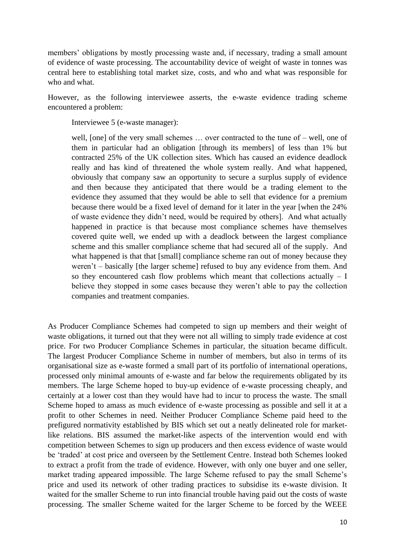members' obligations by mostly processing waste and, if necessary, trading a small amount of evidence of waste processing. The accountability device of weight of waste in tonnes was central here to establishing total market size, costs, and who and what was responsible for who and what.

However, as the following interviewee asserts, the e-waste evidence trading scheme encountered a problem:

Interviewee 5 (e-waste manager):

well, [one] of the very small schemes ... over contracted to the tune of – well, one of them in particular had an obligation [through its members] of less than 1% but contracted 25% of the UK collection sites. Which has caused an evidence deadlock really and has kind of threatened the whole system really. And what happened, obviously that company saw an opportunity to secure a surplus supply of evidence and then because they anticipated that there would be a trading element to the evidence they assumed that they would be able to sell that evidence for a premium because there would be a fixed level of demand for it later in the year [when the 24% of waste evidence they didn't need, would be required by others]. And what actually happened in practice is that because most compliance schemes have themselves covered quite well, we ended up with a deadlock between the largest compliance scheme and this smaller compliance scheme that had secured all of the supply. And what happened is that that [small] compliance scheme ran out of money because they weren't – basically [the larger scheme] refused to buy any evidence from them. And so they encountered cash flow problems which meant that collections actually  $- I$ believe they stopped in some cases because they weren't able to pay the collection companies and treatment companies.

As Producer Compliance Schemes had competed to sign up members and their weight of waste obligations, it turned out that they were not all willing to simply trade evidence at cost price. For two Producer Compliance Schemes in particular, the situation became difficult. The largest Producer Compliance Scheme in number of members, but also in terms of its organisational size as e-waste formed a small part of its portfolio of international operations, processed only minimal amounts of e-waste and far below the requirements obligated by its members. The large Scheme hoped to buy-up evidence of e-waste processing cheaply, and certainly at a lower cost than they would have had to incur to process the waste. The small Scheme hoped to amass as much evidence of e-waste processing as possible and sell it at a profit to other Schemes in need. Neither Producer Compliance Scheme paid heed to the prefigured normativity established by BIS which set out a neatly delineated role for marketlike relations. BIS assumed the market-like aspects of the intervention would end with competition between Schemes to sign up producers and then excess evidence of waste would be 'traded' at cost price and overseen by the Settlement Centre. Instead both Schemes looked to extract a profit from the trade of evidence. However, with only one buyer and one seller, market trading appeared impossible. The large Scheme refused to pay the small Scheme's price and used its network of other trading practices to subsidise its e-waste division. It waited for the smaller Scheme to run into financial trouble having paid out the costs of waste processing. The smaller Scheme waited for the larger Scheme to be forced by the WEEE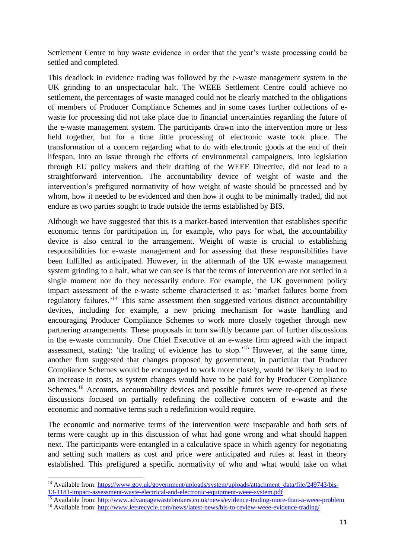Settlement Centre to buy waste evidence in order that the year's waste processing could be settled and completed.

This deadlock in evidence trading was followed by the e-waste management system in the UK grinding to an unspectacular halt. The WEEE Settlement Centre could achieve no settlement, the percentages of waste managed could not be clearly matched to the obligations of members of Producer Compliance Schemes and in some cases further collections of ewaste for processing did not take place due to financial uncertainties regarding the future of the e-waste management system. The participants drawn into the intervention more or less held together, but for a time little processing of electronic waste took place. The transformation of a concern regarding what to do with electronic goods at the end of their lifespan, into an issue through the efforts of environmental campaigners, into legislation through EU policy makers and their drafting of the WEEE Directive, did not lead to a straightforward intervention. The accountability device of weight of waste and the intervention's prefigured normativity of how weight of waste should be processed and by whom, how it needed to be evidenced and then how it ought to be minimally traded, did not endure as two parties sought to trade outside the terms established by BIS.

Although we have suggested that this is a market-based intervention that establishes specific economic terms for participation in, for example, who pays for what, the accountability device is also central to the arrangement. Weight of waste is crucial to establishing responsibilities for e-waste management and for assessing that these responsibilities have been fulfilled as anticipated. However, in the aftermath of the UK e-waste management system grinding to a halt, what we can see is that the terms of intervention are not settled in a single moment nor do they necessarily endure. For example, the UK government policy impact assessment of the e-waste scheme characterised it as: 'market failures borne from regulatory failures.'<sup>14</sup> This same assessment then suggested various distinct accountability devices, including for example, a new pricing mechanism for waste handling and encouraging Producer Compliance Schemes to work more closely together through new partnering arrangements. These proposals in turn swiftly became part of further discussions in the e-waste community. One Chief Executive of an e-waste firm agreed with the impact assessment, stating: 'the trading of evidence has to stop.'<sup>15</sup> However, at the same time, another firm suggested that changes proposed by government, in particular that Producer Compliance Schemes would be encouraged to work more closely, would be likely to lead to an increase in costs, as system changes would have to be paid for by Producer Compliance Schemes.<sup>16</sup> Accounts, accountability devices and possible futures were re-opened as these discussions focused on partially redefining the collective concern of e-waste and the economic and normative terms such a redefinition would require.

The economic and normative terms of the intervention were inseparable and both sets of terms were caught up in this discussion of what had gone wrong and what should happen next. The participants were entangled in a calculative space in which agency for negotiating and setting such matters as cost and price were anticipated and rules at least in theory established. This prefigured a specific normativity of who and what would take on what

**.** 

<sup>15</sup> Available from:<http://www.advantagewastebrokers.co.uk/news/evidence-trading-more-than-a-weee-problem>

<sup>&</sup>lt;sup>14</sup> Available from: [https://www.gov.uk/government/uploads/system/uploads/attachment\\_data/file/249743/bis-](https://www.gov.uk/government/uploads/system/uploads/attachment_data/file/249743/bis-13-1181-impact-assessment-waste-electrical-and-electronic-equipment-weee-system.pdf)[13-1181-impact-assessment-waste-electrical-and-electronic-equipment-weee-system.pdf](https://www.gov.uk/government/uploads/system/uploads/attachment_data/file/249743/bis-13-1181-impact-assessment-waste-electrical-and-electronic-equipment-weee-system.pdf)

<sup>&</sup>lt;sup>16</sup> Available from:<http://www.letsrecycle.com/news/latest-news/bis-to-review-weee-evidence-trading/>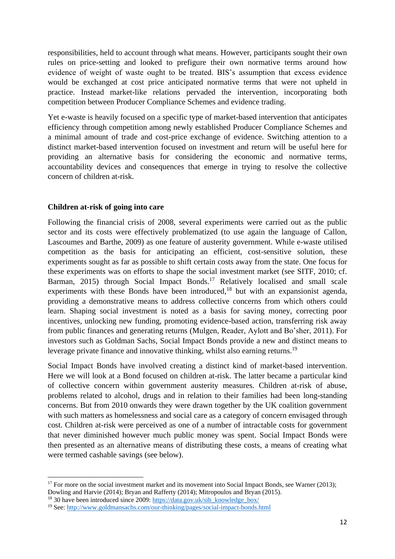responsibilities, held to account through what means. However, participants sought their own rules on price-setting and looked to prefigure their own normative terms around how evidence of weight of waste ought to be treated. BIS's assumption that excess evidence would be exchanged at cost price anticipated normative terms that were not upheld in practice. Instead market-like relations pervaded the intervention, incorporating both competition between Producer Compliance Schemes and evidence trading.

Yet e-waste is heavily focused on a specific type of market-based intervention that anticipates efficiency through competition among newly established Producer Compliance Schemes and a minimal amount of trade and cost-price exchange of evidence. Switching attention to a distinct market-based intervention focused on investment and return will be useful here for providing an alternative basis for considering the economic and normative terms, accountability devices and consequences that emerge in trying to resolve the collective concern of children at-risk.

## **Children at-risk of going into care**

Following the financial crisis of 2008, several experiments were carried out as the public sector and its costs were effectively problematized (to use again the language of Callon, Lascoumes and Barthe, 2009) as one feature of austerity government. While e-waste utilised competition as the basis for anticipating an efficient, cost-sensitive solution, these experiments sought as far as possible to shift certain costs away from the state. One focus for these experiments was on efforts to shape the social investment market (see SITF, 2010; cf. Barman, 2015) through Social Impact Bonds.<sup>17</sup> Relatively localised and small scale experiments with these Bonds have been introduced, $18$  but with an expansionist agenda, providing a demonstrative means to address collective concerns from which others could learn. Shaping social investment is noted as a basis for saving money, correcting poor incentives, unlocking new funding, promoting evidence-based action, transferring risk away from public finances and generating returns (Mulgen, Reader, Aylott and Bo'sher, 2011). For investors such as Goldman Sachs, Social Impact Bonds provide a new and distinct means to leverage private finance and innovative thinking, whilst also earning returns.<sup>19</sup>

Social Impact Bonds have involved creating a distinct kind of market-based intervention. Here we will look at a Bond focused on children at-risk. The latter became a particular kind of collective concern within government austerity measures. Children at-risk of abuse, problems related to alcohol, drugs and in relation to their families had been long-standing concerns. But from 2010 onwards they were drawn together by the UK coalition government with such matters as homelessness and social care as a category of concern envisaged through cost. Children at-risk were perceived as one of a number of intractable costs for government that never diminished however much public money was spent. Social Impact Bonds were then presented as an alternative means of distributing these costs, a means of creating what were termed cashable savings (see below).

 $17$  For more on the social investment market and its movement into Social Impact Bonds, see Warner (2013); Dowling and Harvie (2014); Bryan and Rafferty (2014); Mitropoulos and Bryan (2015).

<sup>&</sup>lt;sup>18</sup> 30 have been introduced since 2009: [https://data.gov.uk/sib\\_knowledge\\_box/](https://data.gov.uk/sib_knowledge_box/)

<sup>19</sup> See[: http://www.goldmansachs.com/our-thinking/pages/social-impact-bonds.html](http://www.goldmansachs.com/our-thinking/pages/social-impact-bonds.html)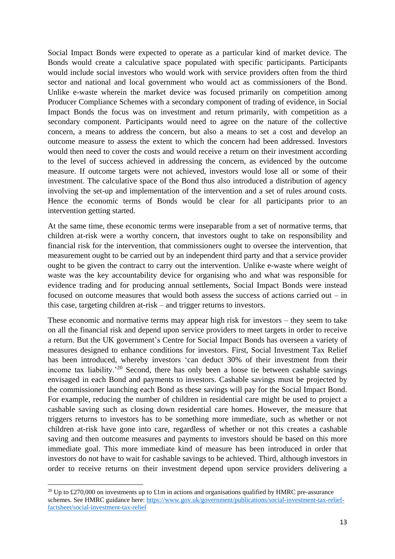Social Impact Bonds were expected to operate as a particular kind of market device. The Bonds would create a calculative space populated with specific participants. Participants would include social investors who would work with service providers often from the third sector and national and local government who would act as commissioners of the Bond. Unlike e-waste wherein the market device was focused primarily on competition among Producer Compliance Schemes with a secondary component of trading of evidence, in Social Impact Bonds the focus was on investment and return primarily, with competition as a secondary component. Participants would need to agree on the nature of the collective concern, a means to address the concern, but also a means to set a cost and develop an outcome measure to assess the extent to which the concern had been addressed. Investors would then need to cover the costs and would receive a return on their investment according to the level of success achieved in addressing the concern, as evidenced by the outcome measure. If outcome targets were not achieved, investors would lose all or some of their investment. The calculative space of the Bond thus also introduced a distribution of agency involving the set-up and implementation of the intervention and a set of rules around costs. Hence the economic terms of Bonds would be clear for all participants prior to an intervention getting started.

At the same time, these economic terms were inseparable from a set of normative terms, that children at-risk were a worthy concern, that investors ought to take on responsibility and financial risk for the intervention, that commissioners ought to oversee the intervention, that measurement ought to be carried out by an independent third party and that a service provider ought to be given the contract to carry out the intervention. Unlike e-waste where weight of waste was the key accountability device for organising who and what was responsible for evidence trading and for producing annual settlements, Social Impact Bonds were instead focused on outcome measures that would both assess the success of actions carried out – in this case, targeting children at-risk – and trigger returns to investors.

These economic and normative terms may appear high risk for investors – they seem to take on all the financial risk and depend upon service providers to meet targets in order to receive a return. But the UK government's Centre for Social Impact Bonds has overseen a variety of measures designed to enhance conditions for investors. First, Social Investment Tax Relief has been introduced, whereby investors 'can deduct 30% of their investment from their income tax liability.<sup> $20$ </sup> Second, there has only been a loose tie between cashable savings envisaged in each Bond and payments to investors. Cashable savings must be projected by the commissioner launching each Bond as these savings will pay for the Social Impact Bond. For example, reducing the number of children in residential care might be used to project a cashable saving such as closing down residential care homes. However, the measure that triggers returns to investors has to be something more immediate, such as whether or not children at-risk have gone into care, regardless of whether or not this creates a cashable saving and then outcome measures and payments to investors should be based on this more immediate goal. This more immediate kind of measure has been introduced in order that investors do not have to wait for cashable savings to be achieved. Third, although investors in order to receive returns on their investment depend upon service providers delivering a

<sup>&</sup>lt;sup>20</sup> Up to £270,000 on investments up to £1m in actions and organisations qualified by HMRC pre-assurance schemes. See HMRC guidance here: [https://www.gov.uk/government/publications/social-investment-tax-relief](https://www.gov.uk/government/publications/social-investment-tax-relief-factsheet/social-investment-tax-relief)[factsheet/social-investment-tax-relief](https://www.gov.uk/government/publications/social-investment-tax-relief-factsheet/social-investment-tax-relief)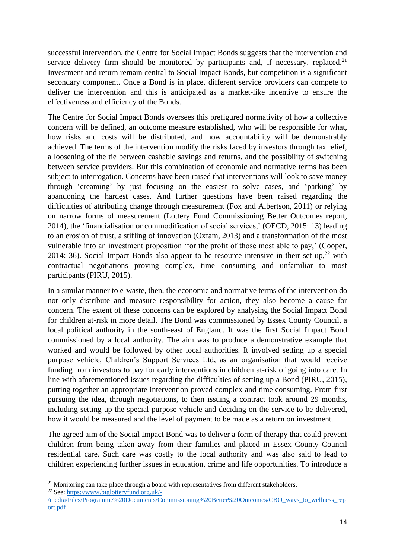successful intervention, the Centre for Social Impact Bonds suggests that the intervention and service delivery firm should be monitored by participants and, if necessary, replaced.<sup>21</sup> Investment and return remain central to Social Impact Bonds, but competition is a significant secondary component. Once a Bond is in place, different service providers can compete to deliver the intervention and this is anticipated as a market-like incentive to ensure the effectiveness and efficiency of the Bonds.

The Centre for Social Impact Bonds oversees this prefigured normativity of how a collective concern will be defined, an outcome measure established, who will be responsible for what, how risks and costs will be distributed, and how accountability will be demonstrably achieved. The terms of the intervention modify the risks faced by investors through tax relief, a loosening of the tie between cashable savings and returns, and the possibility of switching between service providers. But this combination of economic and normative terms has been subject to interrogation. Concerns have been raised that interventions will look to save money through 'creaming' by just focusing on the easiest to solve cases, and 'parking' by abandoning the hardest cases. And further questions have been raised regarding the difficulties of attributing change through measurement (Fox and Albertson, 2011) or relying on narrow forms of measurement (Lottery Fund Commissioning Better Outcomes report, 2014), the 'financialisation or commodification of social services,' (OECD, 2015: 13) leading to an erosion of trust, a stifling of innovation (Oxfam, 2013) and a transformation of the most vulnerable into an investment proposition 'for the profit of those most able to pay,' (Cooper, 2014: 36). Social Impact Bonds also appear to be resource intensive in their set up,  $2^2$  with contractual negotiations proving complex, time consuming and unfamiliar to most participants (PIRU, 2015).

In a similar manner to e-waste, then, the economic and normative terms of the intervention do not only distribute and measure responsibility for action, they also become a cause for concern. The extent of these concerns can be explored by analysing the Social Impact Bond for children at-risk in more detail. The Bond was commissioned by Essex County Council, a local political authority in the south-east of England. It was the first Social Impact Bond commissioned by a local authority. The aim was to produce a demonstrative example that worked and would be followed by other local authorities. It involved setting up a special purpose vehicle, Children's Support Services Ltd, as an organisation that would receive funding from investors to pay for early interventions in children at-risk of going into care. In line with aforementioned issues regarding the difficulties of setting up a Bond (PIRU, 2015), putting together an appropriate intervention proved complex and time consuming. From first pursuing the idea, through negotiations, to then issuing a contract took around 29 months, including setting up the special purpose vehicle and deciding on the service to be delivered, how it would be measured and the level of payment to be made as a return on investment.

The agreed aim of the Social Impact Bond was to deliver a form of therapy that could prevent children from being taken away from their families and placed in Essex County Council residential care. Such care was costly to the local authority and was also said to lead to children experiencing further issues in education, crime and life opportunities. To introduce a

 $21$  Monitoring can take place through a board with representatives from different stakeholders. <sup>22</sup> See[: https://www.biglotteryfund.org.uk/-](https://www.biglotteryfund.org.uk/-/media/Files/Programme%20Documents/Commissioning%20Better%20Outcomes/CBO_ways_to_wellness_report.pdf)

[<sup>/</sup>media/Files/Programme%20Documents/Commissioning%20Better%20Outcomes/CBO\\_ways\\_to\\_wellness\\_rep](https://www.biglotteryfund.org.uk/-/media/Files/Programme%20Documents/Commissioning%20Better%20Outcomes/CBO_ways_to_wellness_report.pdf) [ort.pdf](https://www.biglotteryfund.org.uk/-/media/Files/Programme%20Documents/Commissioning%20Better%20Outcomes/CBO_ways_to_wellness_report.pdf)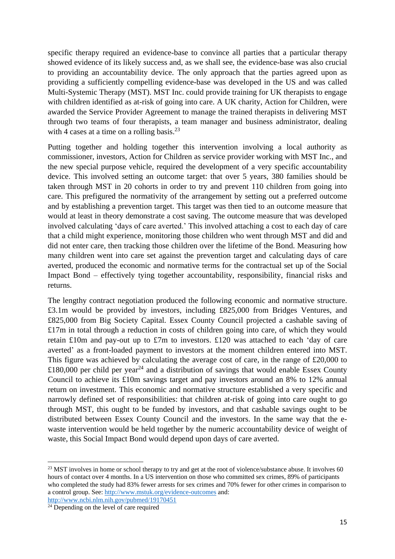specific therapy required an evidence-base to convince all parties that a particular therapy showed evidence of its likely success and, as we shall see, the evidence-base was also crucial to providing an accountability device. The only approach that the parties agreed upon as providing a sufficiently compelling evidence-base was developed in the US and was called Multi-Systemic Therapy (MST). MST Inc. could provide training for UK therapists to engage with children identified as at-risk of going into care. A UK charity, Action for Children, were awarded the Service Provider Agreement to manage the trained therapists in delivering MST through two teams of four therapists, a team manager and business administrator, dealing with 4 cases at a time on a rolling basis. $^{23}$ 

Putting together and holding together this intervention involving a local authority as commissioner, investors, Action for Children as service provider working with MST Inc., and the new special purpose vehicle, required the development of a very specific accountability device. This involved setting an outcome target: that over 5 years, 380 families should be taken through MST in 20 cohorts in order to try and prevent 110 children from going into care. This prefigured the normativity of the arrangement by setting out a preferred outcome and by establishing a prevention target. This target was then tied to an outcome measure that would at least in theory demonstrate a cost saving. The outcome measure that was developed involved calculating 'days of care averted.' This involved attaching a cost to each day of care that a child might experience, monitoring those children who went through MST and did and did not enter care, then tracking those children over the lifetime of the Bond. Measuring how many children went into care set against the prevention target and calculating days of care averted, produced the economic and normative terms for the contractual set up of the Social Impact Bond – effectively tying together accountability, responsibility, financial risks and returns.

The lengthy contract negotiation produced the following economic and normative structure. £3.1m would be provided by investors, including £825,000 from Bridges Ventures, and £825,000 from Big Society Capital. Essex County Council projected a cashable saving of £17m in total through a reduction in costs of children going into care, of which they would retain £10m and pay-out up to £7m to investors. £120 was attached to each 'day of care averted' as a front-loaded payment to investors at the moment children entered into MST. This figure was achieved by calculating the average cost of care, in the range of £20,000 to £180,000 per child per year<sup>24</sup> and a distribution of savings that would enable Essex County Council to achieve its £10m savings target and pay investors around an 8% to 12% annual return on investment. This economic and normative structure established a very specific and narrowly defined set of responsibilities: that children at-risk of going into care ought to go through MST, this ought to be funded by investors, and that cashable savings ought to be distributed between Essex County Council and the investors. In the same way that the ewaste intervention would be held together by the numeric accountability device of weight of waste, this Social Impact Bond would depend upon days of care averted.

<sup>&</sup>lt;sup>23</sup> MST involves in home or school therapy to try and get at the root of violence/substance abuse. It involves 60 hours of contact over 4 months. In a US intervention on those who committed sex crimes, 89% of participants who completed the study had 83% fewer arrests for sex crimes and 70% fewer for other crimes in comparison to a control group. See:<http://www.mstuk.org/evidence-outcomes> and:

<http://www.ncbi.nlm.nih.gov/pubmed/19170451>

 $24$  Depending on the level of care required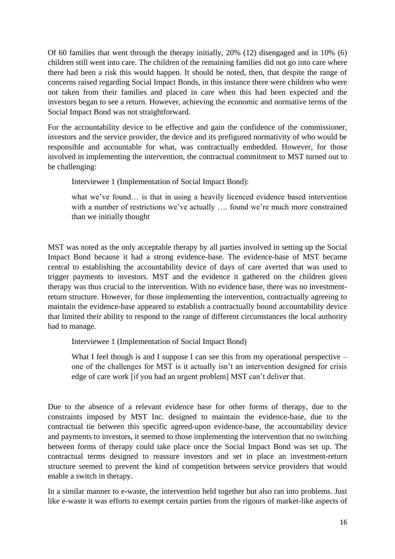Of 60 families that went through the therapy initially, 20% (12) disengaged and in 10% (6) children still went into care. The children of the remaining families did not go into care where there had been a risk this would happen. It should be noted, then, that despite the range of concerns raised regarding Social Impact Bonds, in this instance there were children who were not taken from their families and placed in care when this had been expected and the investors began to see a return. However, achieving the economic and normative terms of the Social Impact Bond was not straightforward.

For the accountability device to be effective and gain the confidence of the commissioner, investors and the service provider, the device and its prefigured normativity of who would be responsible and accountable for what, was contractually embedded. However, for those involved in implementing the intervention, the contractual commitment to MST turned out to be challenging:

Interviewee 1 (Implementation of Social Impact Bond):

what we've found... is that in using a heavily licenced evidence based intervention with a number of restrictions we've actually .... found we're much more constrained than we initially thought

MST was noted as the only acceptable therapy by all parties involved in setting up the Social Impact Bond because it had a strong evidence-base. The evidence-base of MST became central to establishing the accountability device of days of care averted that was used to trigger payments to investors. MST and the evidence it gathered on the children given therapy was thus crucial to the intervention. With no evidence base, there was no investmentreturn structure. However, for those implementing the intervention, contractually agreeing to maintain the evidence-base appeared to establish a contractually bound accountability device that limited their ability to respond to the range of different circumstances the local authority had to manage.

Interviewee 1 (Implementation of Social Impact Bond)

What I feel though is and I suppose I can see this from my operational perspective – one of the challenges for MST is it actually isn't an intervention designed for crisis edge of care work [if you had an urgent problem] MST can't deliver that.

Due to the absence of a relevant evidence base for other forms of therapy, due to the constraints imposed by MST Inc. designed to maintain the evidence-base, due to the contractual tie between this specific agreed-upon evidence-base, the accountability device and payments to investors, it seemed to those implementing the intervention that no switching between forms of therapy could take place once the Social Impact Bond was set up. The contractual terms designed to reassure investors and set in place an investment-return structure seemed to prevent the kind of competition between service providers that would enable a switch in therapy.

In a similar manner to e-waste, the intervention held together but also ran into problems. Just like e-waste it was efforts to exempt certain parties from the rigours of market-like aspects of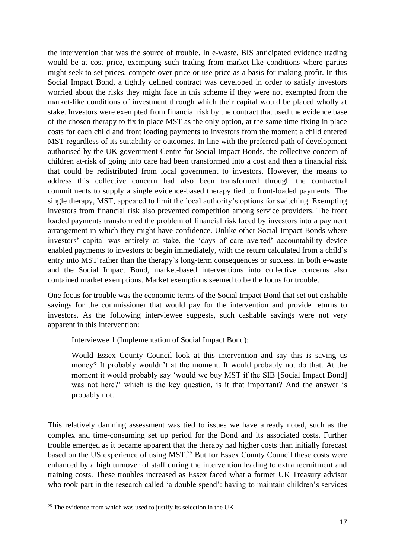the intervention that was the source of trouble. In e-waste, BIS anticipated evidence trading would be at cost price, exempting such trading from market-like conditions where parties might seek to set prices, compete over price or use price as a basis for making profit. In this Social Impact Bond, a tightly defined contract was developed in order to satisfy investors worried about the risks they might face in this scheme if they were not exempted from the market-like conditions of investment through which their capital would be placed wholly at stake. Investors were exempted from financial risk by the contract that used the evidence base of the chosen therapy to fix in place MST as the only option, at the same time fixing in place costs for each child and front loading payments to investors from the moment a child entered MST regardless of its suitability or outcomes. In line with the preferred path of development authorised by the UK government Centre for Social Impact Bonds, the collective concern of children at-risk of going into care had been transformed into a cost and then a financial risk that could be redistributed from local government to investors. However, the means to address this collective concern had also been transformed through the contractual commitments to supply a single evidence-based therapy tied to front-loaded payments. The single therapy, MST, appeared to limit the local authority's options for switching. Exempting investors from financial risk also prevented competition among service providers. The front loaded payments transformed the problem of financial risk faced by investors into a payment arrangement in which they might have confidence. Unlike other Social Impact Bonds where investors' capital was entirely at stake, the 'days of care averted' accountability device enabled payments to investors to begin immediately, with the return calculated from a child's entry into MST rather than the therapy's long-term consequences or success. In both e-waste and the Social Impact Bond, market-based interventions into collective concerns also contained market exemptions. Market exemptions seemed to be the focus for trouble.

One focus for trouble was the economic terms of the Social Impact Bond that set out cashable savings for the commissioner that would pay for the intervention and provide returns to investors. As the following interviewee suggests, such cashable savings were not very apparent in this intervention:

Interviewee 1 (Implementation of Social Impact Bond):

Would Essex County Council look at this intervention and say this is saving us money? It probably wouldn't at the moment. It would probably not do that. At the moment it would probably say 'would we buy MST if the SIB [Social Impact Bond] was not here?' which is the key question, is it that important? And the answer is probably not.

This relatively damning assessment was tied to issues we have already noted, such as the complex and time-consuming set up period for the Bond and its associated costs. Further trouble emerged as it became apparent that the therapy had higher costs than initially forecast based on the US experience of using MST.<sup>25</sup> But for Essex County Council these costs were enhanced by a high turnover of staff during the intervention leading to extra recruitment and training costs. These troubles increased as Essex faced what a former UK Treasury advisor who took part in the research called 'a double spend': having to maintain children's services

 $25$  The evidence from which was used to justify its selection in the UK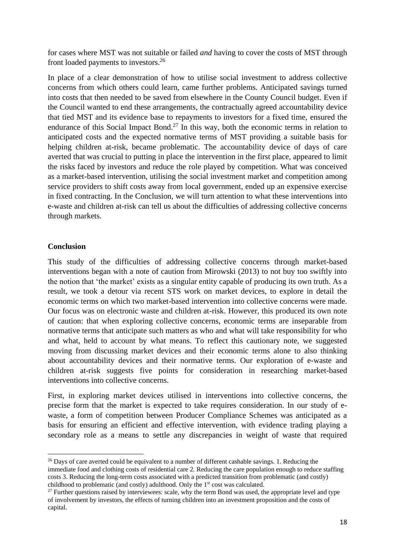for cases where MST was not suitable or failed *and* having to cover the costs of MST through front loaded payments to investors.<sup>26</sup>

In place of a clear demonstration of how to utilise social investment to address collective concerns from which others could learn, came further problems. Anticipated savings turned into costs that then needed to be saved from elsewhere in the County Council budget. Even if the Council wanted to end these arrangements, the contractually agreed accountability device that tied MST and its evidence base to repayments to investors for a fixed time, ensured the endurance of this Social Impact Bond.<sup>27</sup> In this way, both the economic terms in relation to anticipated costs and the expected normative terms of MST providing a suitable basis for helping children at-risk, became problematic. The accountability device of days of care averted that was crucial to putting in place the intervention in the first place, appeared to limit the risks faced by investors and reduce the role played by competition. What was conceived as a market-based intervention, utilising the social investment market and competition among service providers to shift costs away from local government, ended up an expensive exercise in fixed contracting. In the Conclusion, we will turn attention to what these interventions into e-waste and children at-risk can tell us about the difficulties of addressing collective concerns through markets.

## **Conclusion**

**.** 

This study of the difficulties of addressing collective concerns through market-based interventions began with a note of caution from Mirowski (2013) to not buy too swiftly into the notion that 'the market' exists as a singular entity capable of producing its own truth. As a result, we took a detour via recent STS work on market devices, to explore in detail the economic terms on which two market-based intervention into collective concerns were made. Our focus was on electronic waste and children at-risk. However, this produced its own note of caution: that when exploring collective concerns, economic terms are inseparable from normative terms that anticipate such matters as who and what will take responsibility for who and what, held to account by what means. To reflect this cautionary note, we suggested moving from discussing market devices and their economic terms alone to also thinking about accountability devices and their normative terms. Our exploration of e-waste and children at-risk suggests five points for consideration in researching market-based interventions into collective concerns.

First, in exploring market devices utilised in interventions into collective concerns, the precise form that the market is expected to take requires consideration. In our study of ewaste, a form of competition between Producer Compliance Schemes was anticipated as a basis for ensuring an efficient and effective intervention, with evidence trading playing a secondary role as a means to settle any discrepancies in weight of waste that required

 $26$  Days of care averted could be equivalent to a number of different cashable savings. 1. Reducing the immediate food and clothing costs of residential care 2. Reducing the care population enough to reduce staffing costs 3. Reducing the long-term costs associated with a predicted transition from problematic (and costly) childhood to problematic (and costly) adulthood. Only the  $1<sup>st</sup>$  cost was calculated.

 $27$  Further questions raised by interviewees: scale, why the term Bond was used, the appropriate level and type of involvement by investors, the effects of turning children into an investment proposition and the costs of capital.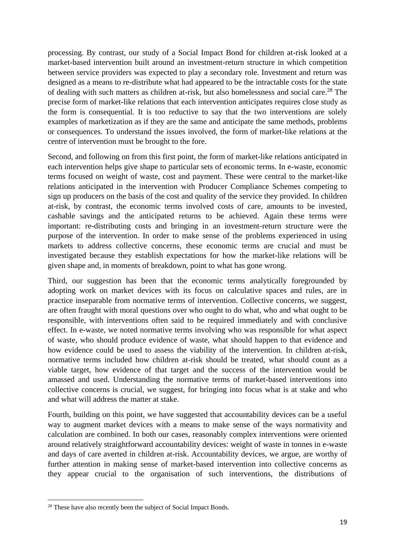processing. By contrast, our study of a Social Impact Bond for children at-risk looked at a market-based intervention built around an investment-return structure in which competition between service providers was expected to play a secondary role. Investment and return was designed as a means to re-distribute what had appeared to be the intractable costs for the state of dealing with such matters as children at-risk, but also homelessness and social care.<sup>28</sup> The precise form of market-like relations that each intervention anticipates requires close study as the form is consequential. It is too reductive to say that the two interventions are solely examples of marketization as if they are the same and anticipate the same methods, problems or consequences. To understand the issues involved, the form of market-like relations at the centre of intervention must be brought to the fore.

Second, and following on from this first point, the form of market-like relations anticipated in each intervention helps give shape to particular sets of economic terms. In e-waste, economic terms focused on weight of waste, cost and payment. These were central to the market-like relations anticipated in the intervention with Producer Compliance Schemes competing to sign up producers on the basis of the cost and quality of the service they provided. In children at-risk, by contrast, the economic terms involved costs of care, amounts to be invested, cashable savings and the anticipated returns to be achieved. Again these terms were important: re-distributing costs and bringing in an investment-return structure were the purpose of the intervention. In order to make sense of the problems experienced in using markets to address collective concerns, these economic terms are crucial and must be investigated because they establish expectations for how the market-like relations will be given shape and, in moments of breakdown, point to what has gone wrong.

Third, our suggestion has been that the economic terms analytically foregrounded by adopting work on market devices with its focus on calculative spaces and rules, are in practice inseparable from normative terms of intervention. Collective concerns, we suggest, are often fraught with moral questions over who ought to do what, who and what ought to be responsible, with interventions often said to be required immediately and with conclusive effect. In e-waste, we noted normative terms involving who was responsible for what aspect of waste, who should produce evidence of waste, what should happen to that evidence and how evidence could be used to assess the viability of the intervention. In children at-risk, normative terms included how children at-risk should be treated, what should count as a viable target, how evidence of that target and the success of the intervention would be amassed and used. Understanding the normative terms of market-based interventions into collective concerns is crucial, we suggest, for bringing into focus what is at stake and who and what will address the matter at stake.

Fourth, building on this point, we have suggested that accountability devices can be a useful way to augment market devices with a means to make sense of the ways normativity and calculation are combined. In both our cases, reasonably complex interventions were oriented around relatively straightforward accountability devices: weight of waste in tonnes in e-waste and days of care averted in children at-risk. Accountability devices, we argue, are worthy of further attention in making sense of market-based intervention into collective concerns as they appear crucial to the organisation of such interventions, the distributions of

<sup>&</sup>lt;sup>28</sup> These have also recently been the subject of Social Impact Bonds.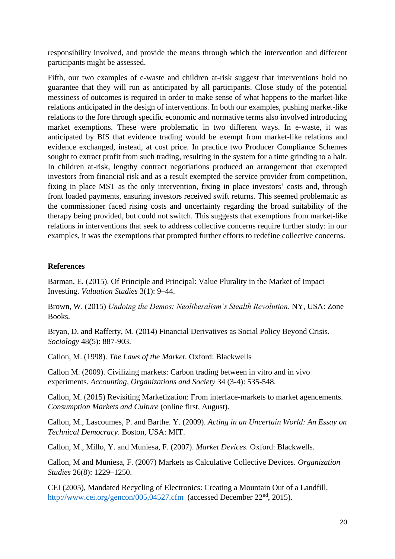responsibility involved, and provide the means through which the intervention and different participants might be assessed.

Fifth, our two examples of e-waste and children at-risk suggest that interventions hold no guarantee that they will run as anticipated by all participants. Close study of the potential messiness of outcomes is required in order to make sense of what happens to the market-like relations anticipated in the design of interventions. In both our examples, pushing market-like relations to the fore through specific economic and normative terms also involved introducing market exemptions. These were problematic in two different ways. In e-waste, it was anticipated by BIS that evidence trading would be exempt from market-like relations and evidence exchanged, instead, at cost price. In practice two Producer Compliance Schemes sought to extract profit from such trading, resulting in the system for a time grinding to a halt. In children at-risk, lengthy contract negotiations produced an arrangement that exempted investors from financial risk and as a result exempted the service provider from competition, fixing in place MST as the only intervention, fixing in place investors' costs and, through front loaded payments, ensuring investors received swift returns. This seemed problematic as the commissioner faced rising costs and uncertainty regarding the broad suitability of the therapy being provided, but could not switch. This suggests that exemptions from market-like relations in interventions that seek to address collective concerns require further study: in our examples, it was the exemptions that prompted further efforts to redefine collective concerns.

## **References**

Barman, E. (2015). Of Principle and Principal: Value Plurality in the Market of Impact Investing. *Valuation Studies* 3(1): 9–44.

Brown, W. (2015) *Undoing the Demos: Neoliberalism's Stealth Revolution*. NY, USA: Zone Books.

Bryan, D. and Rafferty, M. (2014) Financial Derivatives as Social Policy Beyond Crisis. *Sociology* 48(5): 887-903.

Callon, M. (1998). *The Laws of the Market*. Oxford: Blackwells

Callon M. (2009). Civilizing markets: Carbon trading between in vitro and in vivo experiments. *Accounting, Organizations and Society* 34 (3-4): 535-548.

Callon, M. (2015) Revisiting Marketization: From interface-markets to market agencements. *Consumption Markets and Culture* (online first, August).

Callon, M., Lascoumes, P. and Barthe. Y. (2009). *Acting in an Uncertain World: An Essay on Technical Democracy*. Boston, USA: MIT.

Callon, M., Millo, Y. and Muniesa, F. (2007). *Market Devices.* Oxford: Blackwells.

Callon, M and Muniesa, F. (2007) Markets as Calculative Collective Devices. *Organization Studies* 26(8): 1229–1250.

CEI (2005), Mandated Recycling of Electronics: Creating a Mountain Out of a Landfill, <http://www.cei.org/gencon/005,04527.cfm>(accessed December 22<sup>nd</sup>, 2015).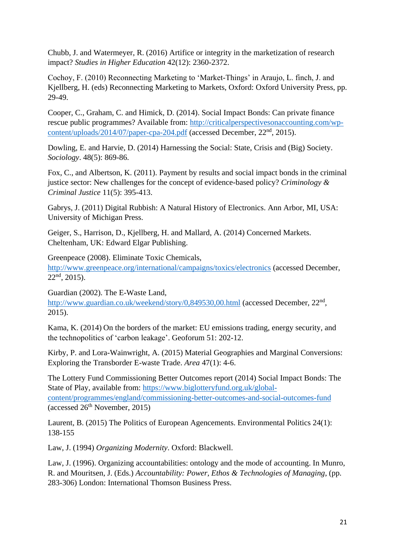Chubb, J. and Watermeyer, R. (2016) Artifice or integrity in the marketization of research impact? *Studies in Higher Education* 42(12): 2360-2372.

Cochoy, F. (2010) Reconnecting Marketing to 'Market-Things' in Araujo, L. finch, J. and Kjellberg, H. (eds) Reconnecting Marketing to Markets, Oxford: Oxford University Press, pp. 29-49.

Cooper, C., Graham, C. and Himick, D. (2014). Social Impact Bonds: Can private finance rescue public programmes? Available from: [http://criticalperspectivesonaccounting.com/wp](http://criticalperspectivesonaccounting.com/wp-content/uploads/2014/07/paper-cpa-204.pdf)[content/uploads/2014/07/paper-cpa-204.pdf](http://criticalperspectivesonaccounting.com/wp-content/uploads/2014/07/paper-cpa-204.pdf) (accessed December, 22nd, 2015).

Dowling, E. and Harvie, D. (2014) Harnessing the Social: State, Crisis and (Big) Society. *Sociology*. 48(5): 869-86.

Fox, C., and Albertson, K. (2011). Payment by results and social impact bonds in the criminal justice sector: New challenges for the concept of evidence-based policy? *Criminology & Criminal Justice* 11(5): 395-413.

Gabrys, J. (2011) Digital Rubbish: A Natural History of Electronics. Ann Arbor, MI, USA: University of Michigan Press.

Geiger, S., Harrison, D., Kjellberg, H. and Mallard, A. (2014) Concerned Markets. Cheltenham, UK: Edward Elgar Publishing.

Greenpeace (2008). Eliminate Toxic Chemicals, <http://www.greenpeace.org/international/campaigns/toxics/electronics> (accessed December,  $22<sup>nd</sup>$ , 2015).

Guardian (2002). The E-Waste Land, <http://www.guardian.co.uk/weekend/story/0,849530,00.html> (accessed December, 22<sup>nd</sup>, 2015).

Kama, K. (2014) On the borders of the market: EU emissions trading, energy security, and the technopolitics of 'carbon leakage'. Geoforum 51: 202-12.

Kirby, P. and Lora-Wainwright, A. (2015) Material Geographies and Marginal Conversions: Exploring the Transborder E-waste Trade. *Area* 47(1): 4-6.

The Lottery Fund Commissioning Better Outcomes report (2014) Social Impact Bonds: The State of Play, available from: [https://www.biglotteryfund.org.uk/global](https://www.biglotteryfund.org.uk/global-content/programmes/england/commissioning-better-outcomes-and-social-outcomes-fund)[content/programmes/england/commissioning-better-outcomes-and-social-outcomes-fund](https://www.biglotteryfund.org.uk/global-content/programmes/england/commissioning-better-outcomes-and-social-outcomes-fund) (accessed  $26<sup>th</sup>$  November, 2015)

Laurent, B. (2015) The Politics of European Agencements. Environmental Politics 24(1): 138-155

Law, J. (1994) *Organizing Modernity*. Oxford: Blackwell.

Law, J. (1996). Organizing accountabilities: ontology and the mode of accounting. In Munro, R. and Mouritsen, J. (Eds.) *Accountability: Power, Ethos & Technologies of Managing*, (pp. 283-306) London: International Thomson Business Press.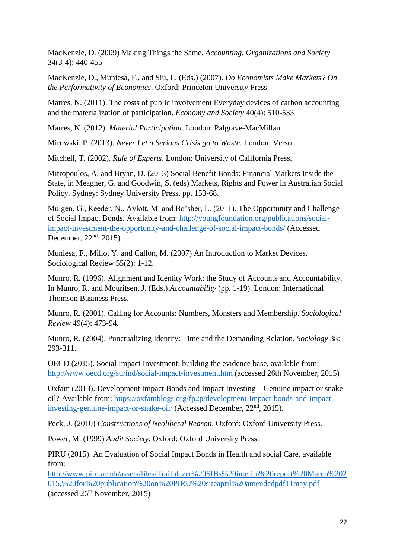MacKenzie, D. (2009) Making Things the Same. *Accounting, Organizations and Society* 34(3-4): 440-455

MacKenzie, D., Muniesa, F., and Siu, L. (Eds.) (2007). *Do Economists Make Markets? On the Performativity of Economics*. Oxford: Princeton University Press.

Marres, N. (2011). The costs of public involvement Everyday devices of carbon accounting and the materialization of participation. *Economy and Society* 40(4): 510-533

Marres, N. (2012). *Material Participation*. London: Palgrave-MacMillan.

Mirowski, P. (2013). *Never Let a Serious Crisis go to Waste*. London: Verso.

Mitchell, T. (2002). *Rule of Experts*. London: University of California Press.

Mitropoulos, A. and Bryan, D. (2013) Social Benefit Bonds: Financial Markets Inside the State, in Meagher, G. and Goodwin, S. (eds) Markets, Rights and Power in Australian Social Policy. Sydney: Sydney University Press, pp. 153-68.

Mulgen, G., Reeder, N., Aylott, M. and Bo'sher, L. (2011). The Opportunity and Challenge of Social Impact Bonds. Available from: [http://youngfoundation.org/publications/social](http://youngfoundation.org/publications/social-impact-investment-the-opportunity-and-challenge-of-social-impact-bonds/)[impact-investment-the-opportunity-and-challenge-of-social-impact-bonds/](http://youngfoundation.org/publications/social-impact-investment-the-opportunity-and-challenge-of-social-impact-bonds/) (Accessed December, 22<sup>nd</sup>, 2015).

Muniesa, F., Millo, Y. and Callon, M. (2007) An Introduction to Market Devices. Sociological Review 55(2): 1-12.

Munro, R. (1996). Alignment and Identity Work: the Study of Accounts and Accountability. In Munro, R. and Mouritsen, J. (Eds.) *Accountability* (pp. 1-19). London: International Thomson Business Press.

Munro, R. (2001). Calling for Accounts: Numbers, Monsters and Membership. *Sociological Review* 49(4): 473-94.

Munro, R. (2004). Punctualizing Identity: Time and the Demanding Relation. *Sociology* 38: 293-311.

OECD (2015). Social Impact Investment: building the evidence base, available from: <http://www.oecd.org/sti/ind/social-impact-investment.htm> (accessed 26th November, 2015)

Oxfam (2013). Development Impact Bonds and Impact Investing – Genuine impact or snake oil? Available from: [https://oxfamblogs.org/fp2p/development-impact-bonds-and-impact](https://oxfamblogs.org/fp2p/development-impact-bonds-and-impact-investing-genuine-impact-or-snake-oil/)[investing-genuine-impact-or-snake-oil/](https://oxfamblogs.org/fp2p/development-impact-bonds-and-impact-investing-genuine-impact-or-snake-oil/) (Accessed December, 22<sup>nd</sup>, 2015).

Peck, J. (2010) *Constructions of Neoliberal Reason*. Oxford: Oxford University Press.

Power, M. (1999) *Audit Society*. Oxford: Oxford University Press.

PIRU (2015). An Evaluation of Social Impact Bonds in Health and social Care, available from:

[http://www.piru.ac.uk/assets/files/Trailblazer%20SIBs%20interim%20report%20March%202](http://www.piru.ac.uk/assets/files/Trailblazer%20SIBs%20interim%20report%20March%202015,%20for%20publication%20on%20PIRU%20siteapril%20amendedpdf11may.pdf) [015,%20for%20publication%20on%20PIRU%20siteapril%20amendedpdf11may.pdf](http://www.piru.ac.uk/assets/files/Trailblazer%20SIBs%20interim%20report%20March%202015,%20for%20publication%20on%20PIRU%20siteapril%20amendedpdf11may.pdf) (accessed  $26<sup>th</sup>$  November, 2015)